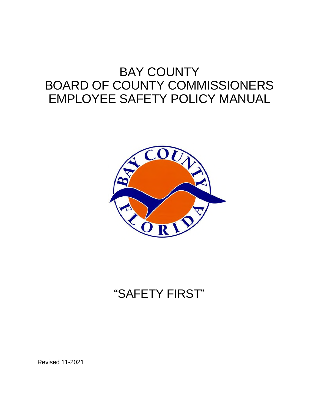# BAY COUNTY BOARD OF COUNTY COMMISSIONERS EMPLOYEE SAFETY POLICY MANUAL



# "SAFETY FIRST"

Revised 11-2021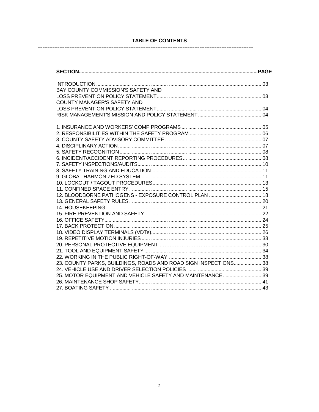# TABLE OF CONTENTS

------------------------------------

--------------------

| BAY COUNTY COMMISSION'S SAFETY AND                               |
|------------------------------------------------------------------|
|                                                                  |
| <b>COUNTY MANAGER'S SAFETY AND</b>                               |
|                                                                  |
|                                                                  |
|                                                                  |
|                                                                  |
|                                                                  |
|                                                                  |
|                                                                  |
|                                                                  |
|                                                                  |
|                                                                  |
|                                                                  |
|                                                                  |
|                                                                  |
|                                                                  |
|                                                                  |
|                                                                  |
|                                                                  |
|                                                                  |
|                                                                  |
|                                                                  |
|                                                                  |
|                                                                  |
|                                                                  |
|                                                                  |
|                                                                  |
| 23. COUNTY PARKS, BUILDINGS, ROADS AND ROAD SIGN INSPECTIONS  38 |
|                                                                  |
| 25. MOTOR EQUIPMENT AND VEHICLE SAFETY AND MAINTENANCE.   39     |
|                                                                  |
|                                                                  |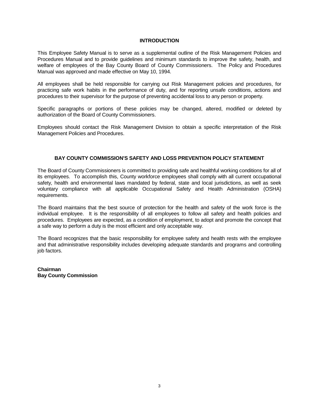## **INTRODUCTION**

This Employee Safety Manual is to serve as a supplemental outline of the Risk Management Policies and Procedures Manual and to provide guidelines and minimum standards to improve the safety, health, and welfare of employees of the Bay County Board of County Commissioners. The Policy and Procedures Manual was approved and made effective on May 10, 1994.

All employees shall be held responsible for carrying out Risk Management policies and procedures, for practicing safe work habits in the performance of duty, and for reporting unsafe conditions, actions and procedures to their supervisor for the purpose of preventing accidental loss to any person or property.

Specific paragraphs or portions of these policies may be changed, altered, modified or deleted by authorization of the Board of County Commissioners.

Employees should contact the Risk Management Division to obtain a specific interpretation of the Risk Management Policies and Procedures.

## **BAY COUNTY COMMISSION'S SAFETY AND LOSS PREVENTION POLICY STATEMENT**

The Board of County Commissioners is committed to providing safe and healthful working conditions for all of its employees. To accomplish this, County workforce employees shall comply with all current occupational safety, health and environmental laws mandated by federal, state and local jurisdictions, as well as seek voluntary compliance with all applicable Occupational Safety and Health Administration (OSHA) requirements.

The Board maintains that the best source of protection for the health and safety of the work force is the individual employee. It is the responsibility of all employees to follow all safety and health policies and procedures. Employees are expected, as a condition of employment, to adopt and promote the concept that a safe way to perform a duty is the most efficient and only acceptable way.

The Board recognizes that the basic responsibility for employee safety and health rests with the employee and that administrative responsibility includes developing adequate standards and programs and controlling job factors.

**Chairman Bay County Commission**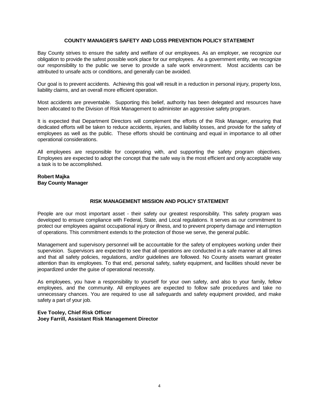## **COUNTY MANAGER'S SAFETY AND LOSS PREVENTION POLICY STATEMENT**

Bay County strives to ensure the safety and welfare of our employees. As an employer, we recognize our obligation to provide the safest possible work place for our employees. As a government entity, we recognize our responsibility to the public we serve to provide a safe work environment. Most accidents can be attributed to unsafe acts or conditions, and generally can be avoided.

Our goal is to prevent accidents. Achieving this goal will result in a reduction in personal injury, property loss, liability claims, and an overall more efficient operation.

Most accidents are preventable. Supporting this belief, authority has been delegated and resources have been allocated to the Division of Risk Management to administer an aggressive safety program.

It is expected that Department Directors will complement the efforts of the Risk Manager, ensuring that dedicated efforts will be taken to reduce accidents, injuries, and liability losses, and provide for the safety of employees as well as the public. These efforts should be continuing and equal in importance to all other operational considerations.

All employees are responsible for cooperating with, and supporting the safety program objectives. Employees are expected to adopt the concept that the safe way is the most efficient and only acceptable way a task is to be accomplished.

## **Robert Majka Bay County Manager**

# **RISK MANAGEMENT MISSION AND POLICY STATEMENT**

People are our most important asset - their safety our greatest responsibility. This safety program was developed to ensure compliance with Federal, State, and Local regulations. It serves as our commitment to protect our employees against occupational injury or illness, and to prevent property damage and interruption of operations. This commitment extends to the protection of those we serve, the general public.

Management and supervisory personnel will be accountable for the safety of employees working under their supervision. Supervisors are expected to see that all operations are conducted in a safe manner at all times and that all safety policies, regulations, and/or guidelines are followed. No County assets warrant greater attention than its employees. To that end, personal safety, safety equipment, and facilities should never be jeopardized under the guise of operational necessity.

As employees, you have a responsibility to yourself for your own safety, and also to your family, fellow employees, and the community. All employees are expected to follow safe procedures and take no unnecessary chances. You are required to use all safeguards and safety equipment provided, and make safety a part of your job.

## **Eve Tooley, Chief Risk Officer Joey Farrill, Assistant Risk Management Director**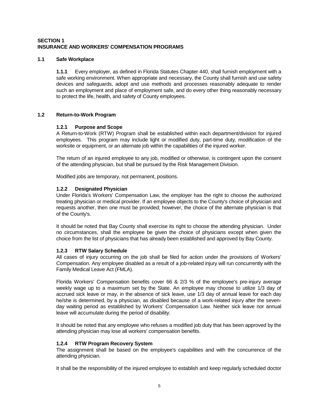# **SECTION 1 INSURANCE AND WORKERS' COMPENSATION PROGRAMS**

## **1.1 Safe Workplace**

**1.1.1** Every employer, as defined in Florida Statutes Chapter 440, shall furnish employment with a safe working environment. When appropriate and necessary, the County shall furnish and use safety devices and safeguards, adopt and use methods and processes reasonably adequate to render such an employment and place of employment safe, and do every other thing reasonably necessary to protect the life, health, and safety of County employees.

# **1.2 Return-to-Work Program**

# **1.2.1 Purpose and Scope**

A Return-to-Work (RTW) Program shall be established within each department/division for injured employees. This program may include light or modified duty, part-time duty, modification of the worksite or equipment, or an alternate job within the capabilities of the injured worker.

The return of an injured employee to any job, modified or otherwise, is contingent upon the consent of the attending physician, but shall be pursued by the Risk Management Division.

Modified jobs are temporary, not permanent, positions.

# **1.2.2 Designated Physician**

Under Florida's Workers' Compensation Law, the employer has the right to choose the authorized treating physician or medical provider. If an employee objects to the County's choice of physician and requests another, then one must be provided; however, the choice of the alternate physician is that of the County's.

It should be noted that Bay County shall exercise its right to choose the attending physician. Under no circumstances, shall the employee be given the choice of physicians except when given the choice from the list of physicians that has already been established and approved by Bay County.

## **1.2.3 RTW Salary Schedule**

All cases of injury occurring on the job shall be filed for action under the provisions of Workers' Compensation. Any employee disabled as a result of a job-related injury will run concurrently with the Family Medical Leave Act (FMLA).

Florida Workers' Compensation benefits cover 66 & 2/3 % of the employee's pre-injury average weekly wage up to a maximum set by the State. An employee may choose to utilize 1/3 day of accrued sick leave or may, in the absence of sick leave, use 1/3 day of annual leave for each day he/she is determined, by a physician, as disabled because of a work-related injury after the sevenday waiting period as established by Workers' Compensation Law. Neither sick leave nor annual leave will accumulate during the period of disability.

It should be noted that any employee who refuses a modified job duty that has been approved by the attending physician may lose all workers' compensation benefits.

## **1.2.4 RTW Program Recovery System**

The assignment shall be based on the employee's capabilities and with the concurrence of the attending physician.

It shall be the responsibility of the injured employee to establish and keep regularly scheduled doctor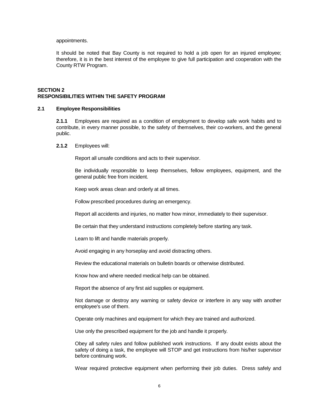#### appointments.

It should be noted that Bay County is not required to hold a job open for an injured employee; therefore, it is in the best interest of the employee to give full participation and cooperation with the County RTW Program.

## **SECTION 2 RESPONSIBILITIES WITHIN THE SAFETY PROGRAM**

#### **2.1 Employee Responsibilities**

**2.1.1** Employees are required as a condition of employment to develop safe work habits and to contribute, in every manner possible, to the safety of themselves, their co-workers, and the general public.

#### **2.1.2** Employees will:

Report all unsafe conditions and acts to their supervisor.

Be individually responsible to keep themselves, fellow employees, equipment, and the general public free from incident.

Keep work areas clean and orderly at all times.

Follow prescribed procedures during an emergency.

Report all accidents and injuries, no matter how minor, immediately to their supervisor.

Be certain that they understand instructions completely before starting any task.

Learn to lift and handle materials properly.

Avoid engaging in any horseplay and avoid distracting others.

Review the educational materials on bulletin boards or otherwise distributed.

Know how and where needed medical help can be obtained.

Report the absence of any first aid supplies or equipment.

Not damage or destroy any warning or safety device or interfere in any way with another employee's use of them.

Operate only machines and equipment for which they are trained and authorized.

Use only the prescribed equipment for the job and handle it properly.

Obey all safety rules and follow published work instructions. If any doubt exists about the safety of doing a task, the employee will STOP and get instructions from his/her supervisor before continuing work.

Wear required protective equipment when performing their job duties. Dress safely and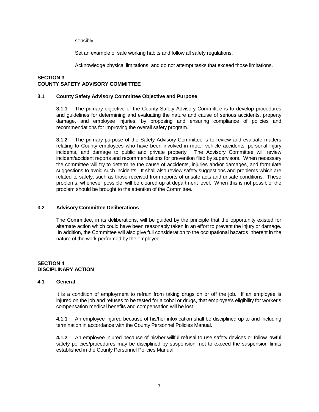sensibly.

Set an example of safe working habits and follow all safety regulations.

Acknowledge physical limitations, and do not attempt tasks that exceed those limitations.

## **SECTION 3 COUNTY SAFETY ADVISORY COMMITTEE**

# **3.1 County Safety Advisory Committee Objective and Purpose**

**3.1.1** The primary objective of the County Safety Advisory Committee is to develop procedures and guidelines for determining and evaluating the nature and cause of serious accidents, property damage, and employee injuries, by proposing and ensuring compliance of policies and recommendations for improving the overall safety program.

**3.1.2** The primary purpose of the Safety Advisory Committee is to review and evaluate matters relating to County employees who have been involved in motor vehicle accidents, personal injury incidents, and damage to public and private property. The Advisory Committee will review incident/accident reports and recommendations for prevention filed by supervisors. When necessary the committee will try to determine the cause of accidents, injuries and/or damages, and formulate suggestions to avoid such incidents. It shall also review safety suggestions and problems which are related to safety, such as those received from reports of unsafe acts and unsafe conditions. These problems, whenever possible, will be cleared up at department level. When this is not possible, the problem should be brought to the attention of the Committee.

## **3.2 Advisory Committee Deliberations**

The Committee, in its deliberations, will be guided by the principle that the opportunity existed for alternate action which could have been reasonably taken in an effort to prevent the injury or damage. In addition, the Committee will also give full consideration to the occupational hazards inherent in the nature of the work performed by the employee.

# **SECTION 4 DISCIPLINARY ACTION**

## **4.1 General**

It is a condition of employment to refrain from taking drugs on or off the job. If an employee is injured on the job and refuses to be tested for alcohol or drugs, that employee's eligibility for worker's compensation medical benefits and compensation will be lost.

**4.1.1** An employee injured because of his/her intoxication shall be disciplined up to and including termination in accordance with the County Personnel Policies Manual.

**4.1.2** An employee injured because of his/her willful refusal to use safety devices or follow lawful safety policies/procedures may be disciplined by suspension, not to exceed the suspension limits established in the County Personnel Policies Manual.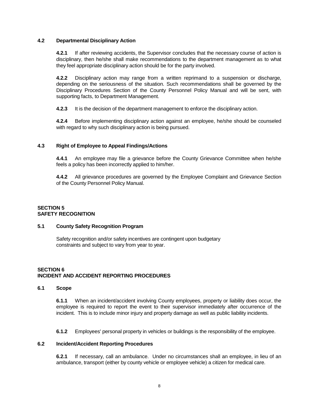## **4.2 Departmental Disciplinary Action**

**4.2.1** If after reviewing accidents, the Supervisor concludes that the necessary course of action is disciplinary, then he/she shall make recommendations to the department management as to what they feel appropriate disciplinary action should be for the party involved.

**4.2.2** Disciplinary action may range from a written reprimand to a suspension or discharge, depending on the seriousness of the situation. Such recommendations shall be governed by the Disciplinary Procedures Section of the County Personnel Policy Manual and will be sent, with supporting facts, to Department Management.

**4.2.3** It is the decision of the department management to enforce the disciplinary action.

**4.2.4** Before implementing disciplinary action against an employee, he/she should be counseled with regard to why such disciplinary action is being pursued.

## **4.3 Right of Employee to Appeal Findings/Actions**

**4.4.1** An employee may file a grievance before the County Grievance Committee when he/she feels a policy has been incorrectly applied to him/her.

**4.4.2** All grievance procedures are governed by the Employee Complaint and Grievance Section of the County Personnel Policy Manual.

# **SECTION 5 SAFETY RECOGNITION**

#### **5.1 County Safety Recognition Program**

Safety recognition and/or safety incentives are contingent upon budgetary constraints and subject to vary from year to year.

# **SECTION 6 INCIDENT AND ACCIDENT REPORTING PROCEDURES**

#### **6.1 Scope**

**6.1.1** When an incident/accident involving County employees, property or liability does occur, the employee is required to report the event to their supervisor immediately after occurrence of the incident. This is to include minor injury and property damage as well as public liability incidents.

**6.1.2** Employees' personal property in vehicles or buildings is the responsibility of the employee.

#### **6.2 Incident/Accident Reporting Procedures**

**6.2.1** If necessary, call an ambulance. Under no circumstances shall an employee, in lieu of an ambulance, transport (either by county vehicle or employee vehicle) a citizen for medical care.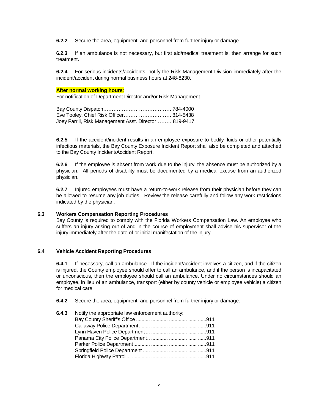**6.2.2** Secure the area, equipment, and personnel from further injury or damage.

**6.2.3** If an ambulance is not necessary, but first aid/medical treatment is, then arrange for such treatment.

**6.2.4** For serious incidents/accidents, notify the Risk Management Division immediately after the incident/accident during normal business hours at 248-8230.

## **After normal working hours**:

For notification of Department Director and/or Risk Management

| Eve Tooley, Chief Risk Officer 814-5438               |  |
|-------------------------------------------------------|--|
| Joey Farrill, Risk Management Asst. Director 819-9417 |  |

**6.2.5** If the accident/incident results in an employee exposure to bodily fluids or other potentially infectious materials, the Bay County Exposure Incident Report shall also be completed and attached to the Bay County Incident/Accident Report.

**6.2.6** If the employee is absent from work due to the injury, the absence must be authorized by a physician. All periods of disability must be documented by a medical excuse from an authorized physician.

**6.2.7** Injured employees must have a return-to-work release from their physician before they can be allowed to resume any job duties. Review the release carefully and follow any work restrictions indicated by the physician.

## **6.3 Workers Compensation Reporting Procedures**

Bay County is required to comply with the Florida Workers Compensation Law. An employee who suffers an injury arising out of and in the course of employment shall advise his supervisor of the injury immediately after the date of or initial manifestation of the injury.

## **6.4 Vehicle Accident Reporting Procedures**

**6.4.1** If necessary, call an ambulance. If the incident/accident involves a citizen, and if the citizen is injured, the County employee should offer to call an ambulance, and if the person is incapacitated or unconscious, then the employee should call an ambulance. Under no circumstances should an employee, in lieu of an ambulance, transport (either by county vehicle or employee vehicle) a citizen for medical care.

**6.4.2** Secure the area, equipment, and personnel from further injury or damage.

| 6.4.3 | Notify the appropriate law enforcement authority: |  |  |
|-------|---------------------------------------------------|--|--|
|       |                                                   |  |  |
|       |                                                   |  |  |
|       |                                                   |  |  |
|       |                                                   |  |  |
|       |                                                   |  |  |
|       |                                                   |  |  |
|       |                                                   |  |  |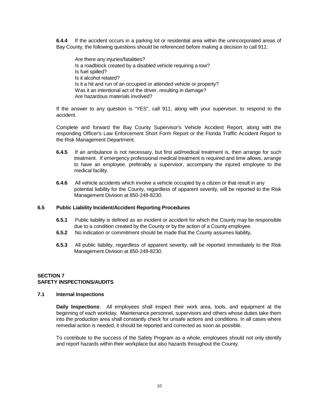**6.4.4** If the accident occurs in a parking lot or residential area within the unincorporated areas of Bay County, the following questions should be referenced before making a decision to call 911:

Are there any injuries/fatalities? Is a roadblock created by a disabled vehicle requiring a tow? Is fuel spilled? Is it alcohol related? Is it a hit and run of an occupied or attended vehicle or property? Was it an intentional act of the driver, resulting in damage? Are hazardous materials involved?

If the answer to any question is "YES", call 911, along with your supervisor, to respond to the accident.

Complete and forward the Bay County Supervisor's Vehicle Accident Report, along with the responding Officer's Law Enforcement Short Form Report or the Florida Traffic Accident Report to the Risk Management Department.

- **6.4.5** If an ambulance is not necessary, but first aid/medical treatment is, then arrange for such treatment. If emergency professional medical treatment is required and time allows, arrange to have an employee, preferably a supervisor, accompany the injured employee to the medical facility.
- **6.4.6** All vehicle accidents which involve a vehicle occupied by a citizen or that result in any potential liability for the County, regardless of apparent severity, will be reported to the Risk Management Division at 850-248-8230.

## **6.5 Public Liability Incident/Accident Reporting Procedures**

- **6.5.1** Public liability is defined as an incident or accident for which the County may be responsible due to a condition created by the County or by the action of a County employee.
- **6.5.2** No indication or commitment should be made that the County assumes liability**.**
- **6.5.3** All public liability, regardless of apparent severity, will be reported immediately to the Risk Management Division at 850-248-8230.

# **SECTION 7 SAFETY INSPECTIONS/AUDITS**

#### **7.1 Internal Inspections**

**Daily Inspections**: All employees shall inspect their work area, tools, and equipment at the beginning of each workday. Maintenance personnel, supervisors and others whose duties take them into the production area shall constantly check for unsafe actions and conditions. In all cases where remedial action is needed, it should be reported and corrected as soon as possible.

To contribute to the success of the Safety Program as a whole, employees should not only identify and report hazards within their workplace but also hazards throughout the County.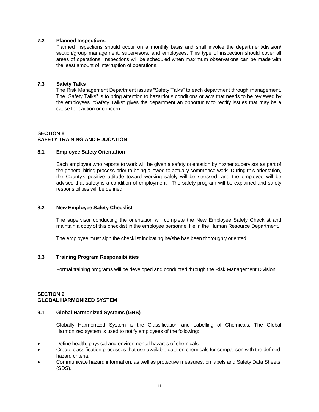## **7.2 Planned Inspections**

Planned inspections should occur on a monthly basis and shall involve the department/division/ section/group management, supervisors, and employees. This type of inspection should cover all areas of operations. Inspections will be scheduled when maximum observations can be made with the least amount of interruption of operations.

# **7.3 Safety Talks**

The Risk Management Department issues "Safety Talks" to each department through management. The "Safety Talks" is to bring attention to hazardous conditions or acts that needs to be reviewed by the employees. "Safety Talks" gives the department an opportunity to rectify issues that may be a cause for caution or concern.

# **SECTION 8 SAFETY TRAINING AND EDUCATION**

# **8.1 Employee Safety Orientation**

Each employee who reports to work will be given a safety orientation by his/her supervisor as part of the general hiring process prior to being allowed to actually commence work. During this orientation, the County's positive attitude toward working safely will be stressed, and the employee will be advised that safety is a condition of employment. The safety program will be explained and safety responsibilities will be defined.

## **8.2 New Employee Safety Checklist**

The supervisor conducting the orientation will complete the New Employee Safety Checklist and maintain a copy of this checklist in the employee personnel file in the Human Resource Department.

The employee must sign the checklist indicating he/she has been thoroughly oriented.

## **8.3 Training Program Responsibilities**

Formal training programs will be developed and conducted through the Risk Management Division.

# **SECTION 9 GLOBAL HARMONIZED SYSTEM**

## **9.1 Global Harmonized Systems (GHS)**

Globally Harmonized System is the Classification and Labelling of Chemicals. The Global Harmonized system is used to notify employees of the following:

- Define health, physical and environmental hazards of chemicals.
- Create classification processes that use available data on chemicals for comparison with the defined hazard criteria.
- Communicate hazard information, as well as protective measures, on labels and Safety Data Sheets (SDS).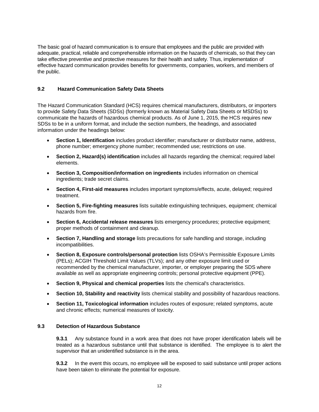The basic goal of hazard communication is to ensure that employees and the public are provided with adequate, practical, reliable and comprehensible information on the hazards of chemicals, so that they can take effective preventive and protective measures for their health and safety. Thus, implementation of effective hazard communication provides benefits for governments, companies, workers, and members of the public.

# **9.2 Hazard Communication Safety Data Sheets**

The Hazard Communication Standard (HCS) requires chemical manufacturers, distributors, or importers to provide Safety Data Sheets (SDSs) (formerly known as Material Safety Data Sheets or MSDSs) to communicate the hazards of hazardous chemical products. As of June 1, 2015, the HCS requires new SDSs to be in a uniform format, and include the section numbers, the headings, and associated information under the headings below:

- **Section 1, Identification** includes product identifier; manufacturer or distributor name, address, phone number; emergency phone number; recommended use; restrictions on use.
- **Section 2, Hazard(s) identification** includes all hazards regarding the chemical; required label elements.
- **Section 3, Composition/information on ingredients** includes information on chemical ingredients; trade secret claims.
- **Section 4, First-aid measures** includes important symptoms/effects, acute, delayed; required treatment.
- **Section 5, Fire-fighting measures** lists suitable extinguishing techniques, equipment; chemical hazards from fire.
- **Section 6, Accidental release measures** lists emergency procedures; protective equipment; proper methods of containment and cleanup.
- **Section 7, Handling and storage** lists precautions for safe handling and storage, including incompatibilities.
- **Section 8, Exposure controls/personal protection** lists OSHA's Permissible Exposure Limits (PELs); ACGIH Threshold Limit Values (TLVs); and any other exposure limit used or recommended by the chemical manufacturer, importer, or employer preparing the SDS where available as well as appropriate engineering controls; personal protective equipment (PPE).
- **Section 9, Physical and chemical properties** lists the chemical's characteristics.
- **Section 10, Stability and reactivity** lists chemical stability and possibility of hazardous reactions.
- **Section 11, Toxicological information** includes routes of exposure; related symptoms, acute and chronic effects; numerical measures of toxicity.

# **9.3 Detection of Hazardous Substance**

**9.3.1** Any substance found in a work area that does not have proper identification labels will be treated as a hazardous substance until that substance is identified. The employee is to alert the supervisor that an unidentified substance is in the area.

**9.3.2** In the event this occurs, no employee will be exposed to said substance until proper actions have been taken to eliminate the potential for exposure.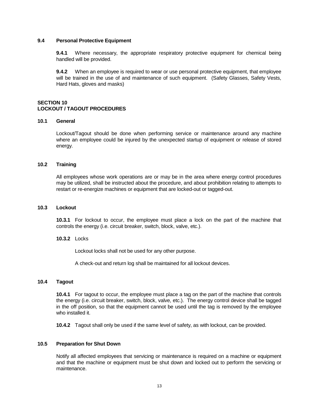## **9.4 Personal Protective Equipment**

**9.4.1** Where necessary, the appropriate respiratory protective equipment for chemical being handled will be provided.

**9.4.2** When an employee is required to wear or use personal protective equipment, that employee will be trained in the use of and maintenance of such equipment. (Safety Glasses, Safety Vests, Hard Hats, gloves and masks)

## **SECTION 10 LOCKOUT / TAGOUT PROCEDURES**

## **10.1 General**

Lockout/Tagout should be done when performing service or maintenance around any machine where an employee could be injured by the unexpected startup of equipment or release of stored energy.

## **10.2 Training**

All employees whose work operations are or may be in the area where energy control procedures may be utilized, shall be instructed about the procedure, and about prohibition relating to attempts to restart or re-energize machines or equipment that are locked-out or tagged-out.

#### **10.3 Lockout**

**10.3.1** For lockout to occur, the employee must place a lock on the part of the machine that controls the energy (i.e. circuit breaker, switch, block, valve, etc.).

#### **10.3.2** Locks

Lockout locks shall not be used for any other purpose.

A check-out and return log shall be maintained for all lockout devices.

#### **10.4 Tagout**

**10.4.1** For tagout to occur, the employee must place a tag on the part of the machine that controls the energy (i.e. circuit breaker, switch, block, valve, etc.). The energy control device shall be tagged in the off position, so that the equipment cannot be used until the tag is removed by the employee who installed it.

**10.4.2** Tagout shall only be used if the same level of safety, as with lockout, can be provided.

# **10.5 Preparation for Shut Down**

Notify all affected employees that servicing or maintenance is required on a machine or equipment and that the machine or equipment must be shut down and locked out to perform the servicing or maintenance.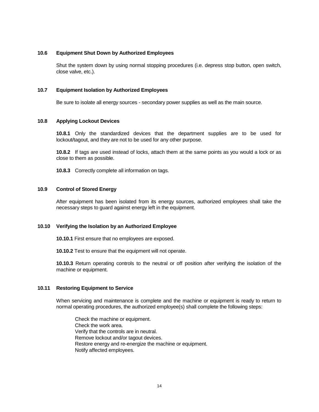## **10.6 Equipment Shut Down by Authorized Employees**

Shut the system down by using normal stopping procedures (i.e. depress stop button, open switch, close valve, etc.).

## **10.7 Equipment Isolation by Authorized Employees**

Be sure to isolate all energy sources - secondary power supplies as well as the main source.

#### **10.8 Applying Lockout Devices**

**10.8.1** Only the standardized devices that the department supplies are to be used for lockout/tagout, and they are not to be used for any other purpose.

**10.8.2** If tags are used instead of locks, attach them at the same points as you would a lock or as close to them as possible.

**10.8.3** Correctly complete all information on tags.

# **10.9 Control of Stored Energy**

After equipment has been isolated from its energy sources, authorized employees shall take the necessary steps to guard against energy left in the equipment.

## **10.10 Verifying the Isolation by an Authorized Employee**

**10.10.1** First ensure that no employees are exposed.

**10.10.2** Test to ensure that the equipment will not operate.

**10.10.3** Return operating controls to the neutral or off position after verifying the isolation of the machine or equipment.

#### **10.11 Restoring Equipment to Service**

When servicing and maintenance is complete and the machine or equipment is ready to return to normal operating procedures, the authorized employee(s) shall complete the following steps:

Check the machine or equipment. Check the work area. Verify that the controls are in neutral. Remove lockout and/or tagout devices. Restore energy and re-energize the machine or equipment. Notify affected employees.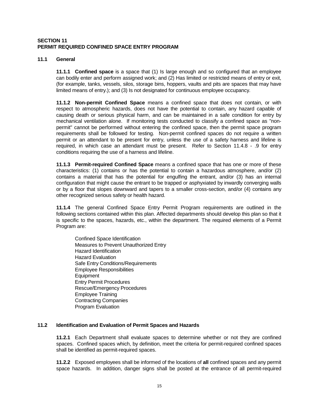## **SECTION 11 PERMIT REQUIRED CONFINED SPACE ENTRY PROGRAM**

## **11.1 General**

**11.1.1 Confined space** is a space that (1) Is large enough and so configured that an employee can bodily enter and perform assigned work; and (2) Has limited or restricted means of entry or exit, (for example, tanks, vessels, silos, storage bins, hoppers, vaults and pits are spaces that may have limited means of entry.); and (3) Is not designated for continuous employee occupancy.

**11.1.2 Non-permit Confined Space** means a confined space that does not contain, or with respect to atmospheric hazards, does not have the potential to contain, any hazard capable of causing death or serious physical harm, and can be maintained in a safe condition for entry by mechanical ventilation alone. If monitoring tests conducted to classify a confined space as "nonpermit" cannot be performed without entering the confined space, then the permit space program requirements shall be followed for testing. Non-permit confined spaces do not require a written permit or an attendant to be present for entry, unless the use of a safety harness and lifeline is required, in which case an attendant must be present. Refer to Section 11.4.8 - .9 for entry conditions requiring the use of a harness and lifeline.

**11.1.3 Permit-required Confined Space** means a confined space that has one or more of these characteristics: (1) contains or has the potential to contain a hazardous atmosphere, and/or (2) contains a material that has the potential for engulfing the entrant, and/or (3) has an internal configuration that might cause the entrant to be trapped or asphyxiated by inwardly converging walls or by a floor that slopes downward and tapers to a smaller cross-section, and/or (4) contains any other recognized serious safety or health hazard.

**11.1.4** The general Confined Space Entry Permit Program requirements are outlined in the following sections contained within this plan. Affected departments should develop this plan so that it is specific to the spaces, hazards, etc., within the department. The required elements of a Permit Program are:

Confined Space Identification Measures to Prevent Unauthorized Entry Hazard Identification Hazard Evaluation Safe Entry Conditions/Requirements Employee Responsibilities Equipment Entry Permit Procedures Rescue/Emergency Procedures Employee Training Contracting Companies Program Evaluation

## **11.2 Identification and Evaluation of Permit Spaces and Hazards**

**11.2.1** Each Department shall evaluate spaces to determine whether or not they are confined spaces. Confined spaces which, by definition, meet the criteria for permit-required confined spaces shall be identified as permit-required spaces.

**11.2.2** Exposed employees shall be informed of the locations of **all** confined spaces and any permit space hazards. In addition, danger signs shall be posted at the entrance of all permit-required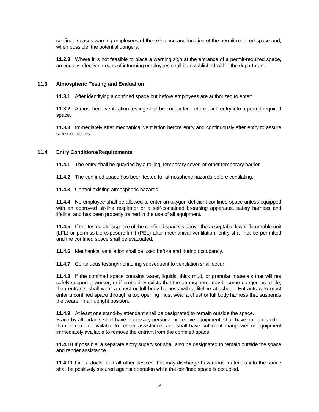confined spaces warning employees of the existence and location of the permit-required space and, when possible, the potential dangers.

**11.2.3** Where it is not feasible to place a warning sign at the entrance of a permit-required space, an equally effective means of informing employees shall be established within the department.

## **11.3 Atmospheric Testing and Evaluation**

**11.3.1** After identifying a confined space but before employees are authorized to enter:

**11.3.2** Atmospheric verification testing shall be conducted before each entry into a permit-required space.

**11.3.3** Immediately after mechanical ventilation before entry and continuously after entry to assure safe conditions.

# **11.4 Entry Conditions/Requirements**

**11.4.1** The entry shall be guarded by a railing, temporary cover, or other temporary barrier.

**11.4.2** The confined space has been tested for atmospheric hazards before ventilating.

**11.4.3** Control existing atmospheric hazards.

**11.4.4** No employee shall be allowed to enter an oxygen deficient confined space unless equipped with an approved air-line respirator or a self-contained breathing apparatus, safety harness and lifeline, and has been properly trained in the use of all equipment.

**11.4.5** If the tested atmosphere of the confined space is above the acceptable lower flammable unit (LFL) or permissible exposure limit (PEL) after mechanical ventilation, entry shall not be permitted and the confined space shall be evacuated.

**11.4.6** Mechanical ventilation shall be used before and during occupancy.

**11.4.7** Continuous testing/monitoring subsequent to ventilation shall occur.

**11.4.8** If the confined space contains water, liquids, thick mud, or granular materials that will not safely support a worker, or if probability exists that the atmosphere may become dangerous to life, then entrants shall wear a chest or full body harness with a lifeline attached. Entrants who must enter a confined space through a top opening must wear a chest or full body harness that suspends the wearer in an upright position.

**11.4.9** At least one stand-by attendant shall be designated to remain outside the space.

Stand-by attendants shall have necessary personal protective equipment, shall have no duties other than to remain available to render assistance, and shall have sufficient manpower or equipment immediately available to remove the entrant from the confined space.

**11.4.10** If possible, a separate entry supervisor shall also be designated to remain outside the space and render assistance.

**11.4.11** Lines, ducts, and all other devices that may discharge hazardous materials into the space shall be positively secured against operation while the confined space is occupied.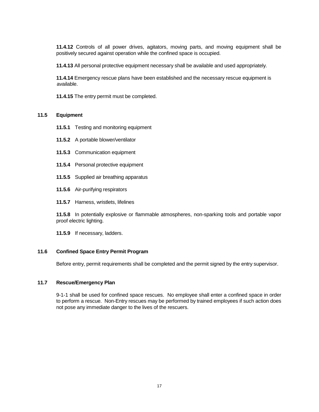**11.4.12** Controls of all power drives, agitators, moving parts, and moving equipment shall be positively secured against operation while the confined space is occupied.

**11.4.13** All personal protective equipment necessary shall be available and used appropriately.

**11.4.14** Emergency rescue plans have been established and the necessary rescue equipment is available.

**11.4.15** The entry permit must be completed.

## **11.5 Equipment**

- **11.5.1** Testing and monitoring equipment
- **11.5.2** A portable blower/ventilator
- **11.5.3** Communication equipment
- **11.5.4** Personal protective equipment
- **11.5.5** Supplied air breathing apparatus
- **11.5.6** Air-purifying respirators
- **11.5.7** Harness, wristlets, lifelines

**11.5.8** In potentially explosive or flammable atmospheres, non-sparking tools and portable vapor proof electric lighting.

**11.5.9** If necessary, ladders.

## **11.6 Confined Space Entry Permit Program**

Before entry, permit requirements shall be completed and the permit signed by the entry supervisor.

## **11.7 Rescue/Emergency Plan**

9-1-1 shall be used for confined space rescues. No employee shall enter a confined space in order to perform a rescue. Non-Entry rescues may be performed by trained employees if such action does not pose any immediate danger to the lives of the rescuers.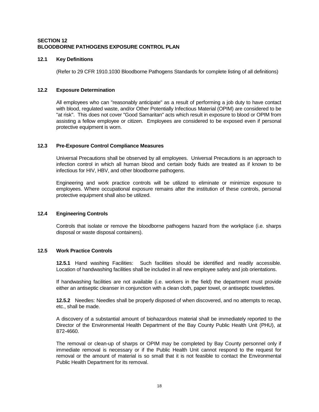# **SECTION 12 BLOODBORNE PATHOGENS EXPOSURE CONTROL PLAN**

## **12.1 Key Definitions**

(Refer to 29 CFR 1910.1030 Bloodborne Pathogens Standards for complete listing of all definitions)

# **12.2 Exposure Determination**

All employees who can "reasonably anticipate" as a result of performing a job duty to have contact with blood, regulated waste, and/or Other Potentially Infectious Material (OPIM) are considered to be "at risk". This does not cover "Good Samaritan" acts which result in exposure to blood or OPIM from assisting a fellow employee or citizen. Employees are considered to be exposed even if personal protective equipment is worn.

# **12.3 Pre-Exposure Control Compliance Measures**

Universal Precautions shall be observed by all employees. Universal Precautions is an approach to infection control in which all human blood and certain body fluids are treated as if known to be infectious for HIV, HBV, and other bloodborne pathogens.

Engineering and work practice controls will be utilized to eliminate or minimize exposure to employees. Where occupational exposure remains after the institution of these controls, personal protective equipment shall also be utilized.

## **12.4 Engineering Controls**

Controls that isolate or remove the bloodborne pathogens hazard from the workplace (i.e. sharps disposal or waste disposal containers).

# **12.5 Work Practice Controls**

**12.5.1** Hand washing Facilities: Such facilities should be identified and readily accessible. Location of handwashing facilities shall be included in all new employee safety and job orientations.

If handwashing facilities are not available (i.e. workers in the field) the department must provide either an antiseptic cleanser in conjunction with a clean cloth, paper towel, or antiseptic towelettes.

**12.5.2** Needles: Needles shall be properly disposed of when discovered, and no attempts to recap, etc., shall be made.

A discovery of a substantial amount of biohazardous material shall be immediately reported to the Director of the Environmental Health Department of the Bay County Public Health Unit (PHU), at 872-4660.

The removal or clean-up of sharps or OPIM may be completed by Bay County personnel only if immediate removal is necessary or if the Public Health Unit cannot respond to the request for removal or the amount of material is so small that it is not feasible to contact the Environmental Public Health Department for its removal.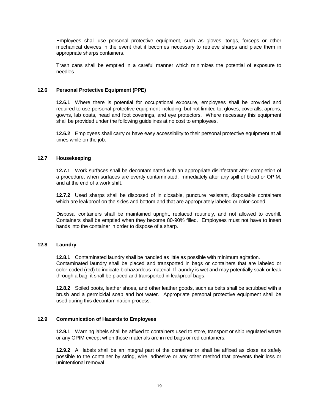Employees shall use personal protective equipment, such as gloves, tongs, forceps or other mechanical devices in the event that it becomes necessary to retrieve sharps and place them in appropriate sharps containers.

Trash cans shall be emptied in a careful manner which minimizes the potential of exposure to needles.

# **12.6 Personal Protective Equipment (PPE)**

**12.6.1** Where there is potential for occupational exposure, employees shall be provided and required to use personal protective equipment including, but not limited to, gloves, coveralls, aprons, gowns, lab coats, head and foot coverings, and eye protectors. Where necessary this equipment shall be provided under the following guidelines at no cost to employees.

**12.6.2** Employees shall carry or have easy accessibility to their personal protective equipment at all times while on the job.

## **12.7 Housekeeping**

**12.7.1** Work surfaces shall be decontaminated with an appropriate disinfectant after completion of a procedure; when surfaces are overtly contaminated; immediately after any spill of blood or OPIM; and at the end of a work shift.

**12.7.2** Used sharps shall be disposed of in closable, puncture resistant, disposable containers which are leakproof on the sides and bottom and that are appropriately labeled or color-coded.

Disposal containers shall be maintained upright, replaced routinely, and not allowed to overfill. Containers shall be emptied when they become 80-90% filled. Employees must not have to insert hands into the container in order to dispose of a sharp.

## **12.8 Laundry**

**12.8.1** Contaminated laundry shall be handled as little as possible with minimum agitation. Contaminated laundry shall be placed and transported in bags or containers that are labeled or color-coded (red) to indicate biohazardous material. If laundry is wet and may potentially soak or leak through a bag, it shall be placed and transported in leakproof bags.

**12.8.2** Soiled boots, leather shoes, and other leather goods, such as belts shall be scrubbed with a brush and a germicidal soap and hot water. Appropriate personal protective equipment shall be used during this decontamination process.

## **12.9 Communication of Hazards to Employees**

**12.9.1** Warning labels shall be affixed to containers used to store, transport or ship regulated waste or any OPIM except when those materials are in red bags or red containers.

**12.9.2** All labels shall be an integral part of the container or shall be affixed as close as safely possible to the container by string, wire, adhesive or any other method that prevents their loss or unintentional removal.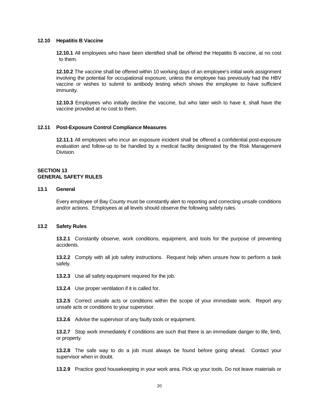#### **12.10 Hepatitis B Vaccine**

**12.10.1** All employees who have been identified shall be offered the Hepatitis B vaccine, at no cost to them.

**12.10.2** The vaccine shall be offered within 10 working days of an employee's initial work assignment involving the potential for occupational exposure, unless the employee has previously had the HBV vaccine or wishes to submit to antibody testing which shows the employee to have sufficient immunity.

**12.10.3** Employees who initially decline the vaccine, but who later wish to have it, shall have the vaccine provided at no cost to them.

## **12.11 Post-Exposure Control Compliance Measures**

**12.11.1** All employees who incur an exposure incident shall be offered a confidential post-exposure evaluation and follow-up to be handled by a medical facility designated by the Risk Management Division.

## **SECTION 13 GENERAL SAFETY RULES**

## **13.1 General**

Every employee of Bay County must be constantly alert to reporting and correcting unsafe conditions and/or actions. Employees at all levels should observe the following safety rules.

#### **13.2 Safety Rules**

**13.2.1** Constantly observe, work conditions, equipment, and tools for the purpose of preventing accidents.

**13.2.2** Comply with all job safety instructions. Request help when unsure how to perform a task safely.

**13.2.3** Use all safety equipment required for the job.

**13.2.4** Use proper ventilation if it is called for.

**13.2.5** Correct unsafe acts or conditions within the scope of your immediate work. Report any unsafe acts or conditions to your supervisor.

**13.2.6** Advise the supervisor of any faulty tools or equipment.

**13.2.7** Stop work immediately if conditions are such that there is an immediate danger to life, limb, or property.

**13.2.8** The safe way to do a job must always be found before going ahead. Contact your supervisor when in doubt.

**13.2.9** Practice good housekeeping in your work area. Pick up your tools. Do not leave materials or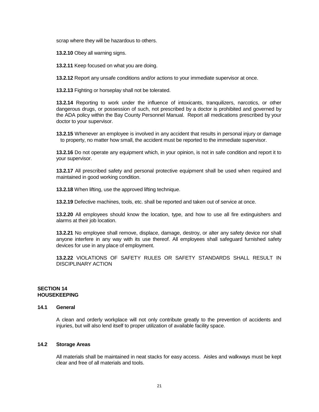scrap where they will be hazardous to others.

**13.2.10** Obey all warning signs.

**13.2.11** Keep focused on what you are doing.

**13.2.12** Report any unsafe conditions and/or actions to your immediate supervisor at once.

**13.2.13** Fighting or horseplay shall not be tolerated.

**13.2.14** Reporting to work under the influence of intoxicants, tranquilizers, narcotics, or other dangerous drugs, or possession of such, not prescribed by a doctor is prohibited and governed by the ADA policy within the Bay County Personnel Manual. Report all medications prescribed by your doctor to your supervisor.

**13.2.15** Whenever an employee is involved in any accident that results in personal injury or damage to property, no matter how small, the accident must be reported to the immediate supervisor.

**13.2.16** Do not operate any equipment which, in your opinion, is not in safe condition and report it to your supervisor.

**13.2.17** All prescribed safety and personal protective equipment shall be used when required and maintained in good working condition.

**13.2.18** When lifting, use the approved lifting technique.

**13.2.19** Defective machines, tools, etc. shall be reported and taken out of service at once.

**13.2.20** All employees should know the location, type, and how to use all fire extinguishers and alarms at their job location.

**13.2.21** No employee shall remove, displace, damage, destroy, or alter any safety device nor shall anyone interfere in any way with its use thereof. All employees shall safeguard furnished safety devices for use in any place of employment.

**13.2.22** VIOLATIONS OF SAFETY RULES OR SAFETY STANDARDS SHALL RESULT IN DISCIPLINARY ACTION

## **SECTION 14 HOUSEKEEPING**

# **14.1 General**

A clean and orderly workplace will not only contribute greatly to the prevention of accidents and injuries, but will also lend itself to proper utilization of available facility space.

# **14.2 Storage Areas**

All materials shall be maintained in neat stacks for easy access. Aisles and walkways must be kept clear and free of all materials and tools.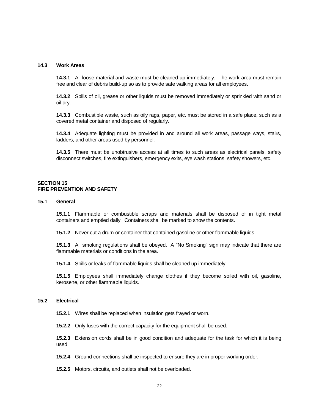#### **14.3 Work Areas**

**14.3.1** All loose material and waste must be cleaned up immediately. The work area must remain free and clear of debris build-up so as to provide safe walking areas for all employees.

**14.3.2** Spills of oil, grease or other liquids must be removed immediately or sprinkled with sand or oil dry.

**14.3.3** Combustible waste, such as oily rags, paper, etc. must be stored in a safe place, such as a covered metal container and disposed of regularly.

**14.3.4** Adequate lighting must be provided in and around all work areas, passage ways, stairs, ladders, and other areas used by personnel.

**14.3.5** There must be unobtrusive access at all times to such areas as electrical panels, safety disconnect switches, fire extinguishers, emergency exits, eye wash stations, safety showers, etc.

#### **SECTION 15 FIRE PREVENTION AND SAFETY**

## **15.1 General**

**15.1.1** Flammable or combustible scraps and materials shall be disposed of in tight metal containers and emptied daily. Containers shall be marked to show the contents.

**15.1.2** Never cut a drum or container that contained gasoline or other flammable liquids.

**15.1.3** All smoking regulations shall be obeyed. A "No Smoking" sign may indicate that there are flammable materials or conditions in the area.

**15.1.4** Spills or leaks of flammable liquids shall be cleaned up immediately.

**15.1.5** Employees shall immediately change clothes if they become soiled with oil, gasoline, kerosene, or other flammable liquids.

#### **15.2 Electrical**

**15.2.1** Wires shall be replaced when insulation gets frayed or worn.

**15.2.2** Only fuses with the correct capacity for the equipment shall be used.

**15.2.3** Extension cords shall be in good condition and adequate for the task for which it is being used.

**15.2.4** Ground connections shall be inspected to ensure they are in proper working order.

**15.2.5** Motors, circuits, and outlets shall not be overloaded.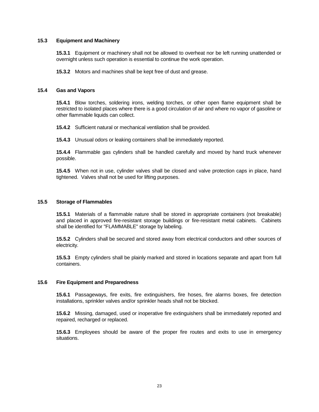## **15.3 Equipment and Machinery**

**15.3.1** Equipment or machinery shall not be allowed to overheat nor be left running unattended or overnight unless such operation is essential to continue the work operation.

**15.3.2** Motors and machines shall be kept free of dust and grease.

## **15.4 Gas and Vapors**

**15.4.1** Blow torches, soldering irons, welding torches, or other open flame equipment shall be restricted to isolated places where there is a good circulation of air and where no vapor of gasoline or other flammable liquids can collect.

**15.4.2** Sufficient natural or mechanical ventilation shall be provided.

**15.4.3** Unusual odors or leaking containers shall be immediately reported.

**15.4.4** Flammable gas cylinders shall be handled carefully and moved by hand truck whenever possible.

**15.4.5** When not in use, cylinder valves shall be closed and valve protection caps in place, hand tightened. Valves shall not be used for lifting purposes.

#### **15.5 Storage of Flammables**

**15.5.1** Materials of a flammable nature shall be stored in appropriate containers (not breakable) and placed in approved fire-resistant storage buildings or fire-resistant metal cabinets. Cabinets shall be identified for "FLAMMABLE" storage by labeling.

**15.5.2** Cylinders shall be secured and stored away from electrical conductors and other sources of electricity.

**15.5.3** Empty cylinders shall be plainly marked and stored in locations separate and apart from full containers.

## **15.6 Fire Equipment and Preparedness**

**15.6.1** Passageways, fire exits, fire extinguishers, fire hoses, fire alarms boxes, fire detection installations, sprinkler valves and/or sprinkler heads shall not be blocked.

**15.6.2** Missing, damaged, used or inoperative fire extinguishers shall be immediately reported and repaired, recharged or replaced.

**15.6.3** Employees should be aware of the proper fire routes and exits to use in emergency situations.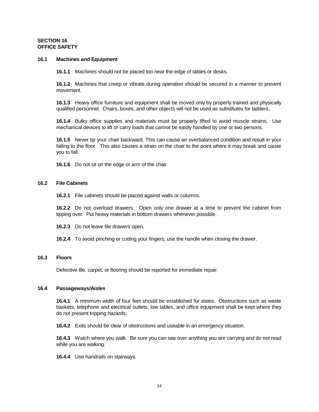## **SECTION 16 OFFICE SAFETY**

#### **16.1 Machines and Equipment**

**16.1.1** Machines should not be placed too near the edge of tables or desks.

**16.1.2** Machines that creep or vibrate during operation should be secured in a manner to prevent movement.

**16.1.3** Heavy office furniture and equipment shall be moved only by properly trained and physically qualified personnel. Chairs, boxes, and other objects will not be used as substitutes for ladders.

**16.1.4** Bulky office supplies and materials must be properly lifted to avoid muscle strains. Use mechanical devices to lift or carry loads that cannot be easily handled by one or two persons.

**16.1.5** Never tip your chair backward. This can cause an overbalanced condition and result in your falling to the floor. This also causes a strain on the chair to the point where it may break and cause you to fall.

**16.1.6** Do not sit on the edge or arm of the chair.

## **16.2 File Cabinets**

**16.2.1** File cabinets should be placed against walls or columns.

**16.2.2** Do not overload drawers. Open only one drawer at a time to prevent the cabinet from tipping over. Put heavy materials in bottom drawers whenever possible.

- **16.2.3** Do not leave file drawers open.
- **16.2.4** To avoid pinching or cutting your fingers, use the handle when closing the drawer.

## **16.3 Floors**

Defective tile, carpet, or flooring should be reported for immediate repair.

#### **16.4 Passageways/Aisles**

**16.4.1** A minimum width of four feet should be established for aisles. Obstructions such as waste baskets, telephone and electrical outlets, low tables, and office equipment shall be kept where they do not present tripping hazards.

**16.4.2** Exits should be clear of obstructions and useable in an emergency situation.

**16.4.3** Watch where you walk. Be sure you can see over anything you are carrying and do not read while you are walking.

**16.4.4** Use handrails on stairways.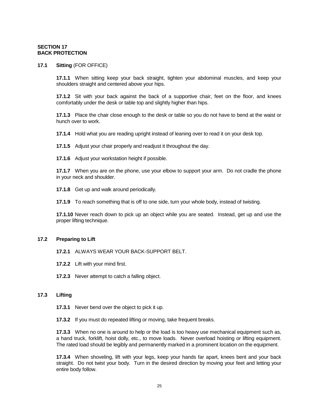## **SECTION 17 BACK PROTECTION**

#### **17.1 Sitting** (FOR OFFICE)

**17.1.1** When sitting keep your back straight, tighten your abdominal muscles, and keep your shoulders straight and centered above your hips.

**17.1.2** Sit with your back against the back of a supportive chair, feet on the floor, and knees comfortably under the desk or table top and slightly higher than hips.

**17.1.3** Place the chair close enough to the desk or table so you do not have to bend at the waist or hunch over to work.

**17.1.4** Hold what you are reading upright instead of leaning over to read it on your desk top.

**17.1.5** Adjust your chair properly and readjust it throughout the day.

**17.1.6** Adjust your workstation height if possible.

**17.1.7** When you are on the phone, use your elbow to support your arm. Do not cradle the phone in your neck and shoulder.

**17.1.8** Get up and walk around periodically.

**17.1.9** To reach something that is off to one side, turn your whole body, instead of twisting.

**17.1.10** Never reach down to pick up an object while you are seated. Instead, get up and use the proper lifting technique.

#### **17.2 Preparing to Lift**

**17.2.1** ALWAYS WEAR YOUR BACK-SUPPORT BELT.

- **17.2.2** Lift with your mind first.
- **17.2.3** Never attempt to catch a falling object.

## **17.3 Lifting**

**17.3.1** Never bend over the object to pick it up.

**17.3.2** If you must do repeated lifting or moving, take frequent breaks.

**17.3.3** When no one is around to help or the load is too heavy use mechanical equipment such as, a hand truck, forklift, hoist dolly, etc., to move loads. Never overload hoisting or lifting equipment. The rated load should be legibly and permanently marked in a prominent location on the equipment.

**17.3.4** When shoveling, lift with your legs, keep your hands far apart, knees bent and your back straight. Do not twist your body. Turn in the desired direction by moving your feet and letting your entire body follow.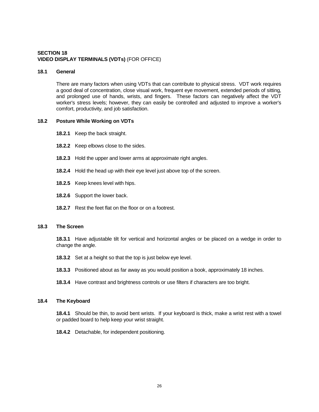# **SECTION 18 VIDEO DISPLAY TERMINALS (VDTs)** (FOR OFFICE)

## **18.1 General**

There are many factors when using VDTs that can contribute to physical stress. VDT work requires a good deal of concentration, close visual work, frequent eye movement, extended periods of sitting, and prolonged use of hands, wrists, and fingers. These factors can negatively affect the VDT worker's stress levels; however, they can easily be controlled and adjusted to improve a worker's comfort, productivity, and job satisfaction.

#### **18.2 Posture While Working on VDTs**

- **18.2.1** Keep the back straight.
- **18.2.2** Keep elbows close to the sides.
- **18.2.3** Hold the upper and lower arms at approximate right angles.
- **18.2.4** Hold the head up with their eye level just above top of the screen.
- **18.2.5** Keep knees level with hips.
- **18.2.6** Support the lower back.
- **18.2.7** Rest the feet flat on the floor or on a footrest.

## **18.3 The Screen**

**18.3.1** Have adjustable tilt for vertical and horizontal angles or be placed on a wedge in order to change the angle.

- **18.3.2** Set at a height so that the top is just below eye level.
- **18.3.3** Positioned about as far away as you would position a book, approximately 18 inches.
- **18.3.4** Have contrast and brightness controls or use filters if characters are too bright.

#### **18.4 The Keyboard**

**18.4.1** Should be thin, to avoid bent wrists. If your keyboard is thick, make a wrist rest with a towel or padded board to help keep your wrist straight.

**18.4.2** Detachable, for independent positioning.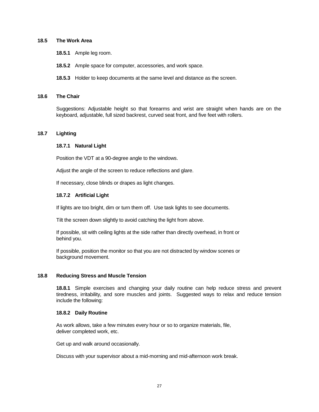## **18.5 The Work Area**

- **18.5.1** Ample leg room.
- **18.5.2** Ample space for computer, accessories, and work space.
- **18.5.3** Holder to keep documents at the same level and distance as the screen.

#### **18.6 The Chair**

Suggestions: Adjustable height so that forearms and wrist are straight when hands are on the keyboard, adjustable, full sized backrest, curved seat front, and five feet with rollers.

## **18.7 Lighting**

#### **18.7.1 Natural Light**

Position the VDT at a 90-degree angle to the windows.

Adjust the angle of the screen to reduce reflections and glare.

If necessary, close blinds or drapes as light changes.

#### **18.7.2 Artificial Light**

If lights are too bright, dim or turn them off. Use task lights to see documents.

Tilt the screen down slightly to avoid catching the light from above.

If possible, sit with ceiling lights at the side rather than directly overhead, in front or behind you.

If possible, position the monitor so that you are not distracted by window scenes or background movement.

## **18.8 Reducing Stress and Muscle Tension**

**18.8.1** Simple exercises and changing your daily routine can help reduce stress and prevent tiredness, irritability, and sore muscles and joints. Suggested ways to relax and reduce tension include the following:

#### **18.8.2 Daily Routine**

As work allows, take a few minutes every hour or so to organize materials, file, deliver completed work, etc.

Get up and walk around occasionally.

Discuss with your supervisor about a mid-morning and mid-afternoon work break.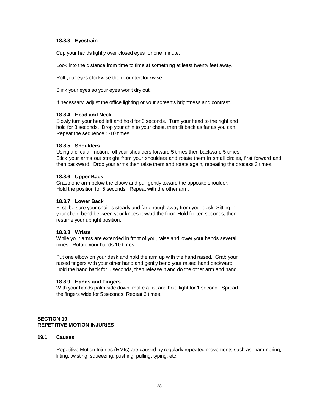## **18.8.3 Eyestrain**

Cup your hands lightly over closed eyes for one minute.

Look into the distance from time to time at something at least twenty feet away.

Roll your eyes clockwise then counterclockwise.

Blink your eyes so your eyes won't dry out.

If necessary, adjust the office lighting or your screen's brightness and contrast.

## **18.8.4 Head and Neck**

Slowly turn your head left and hold for 3 seconds. Turn your head to the right and hold for 3 seconds. Drop your chin to your chest, then tilt back as far as you can. Repeat the sequence 5-10 times.

## **18.8.5 Shoulders**

Using a circular motion, roll your shoulders forward 5 times then backward 5 times. Stick your arms out straight from your shoulders and rotate them in small circles, first forward and then backward. Drop your arms then raise them and rotate again, repeating the process 3 times.

## **18.8.6 Upper Back**

Grasp one arm below the elbow and pull gently toward the opposite shoulder. Hold the position for 5 seconds. Repeat with the other arm.

## **18.8.7 Lower Back**

First, be sure your chair is steady and far enough away from your desk. Sitting in your chair, bend between your knees toward the floor. Hold for ten seconds, then resume your upright position.

## **18.8.8 Wrists**

While your arms are extended in front of you, raise and lower your hands several times. Rotate your hands 10 times.

Put one elbow on your desk and hold the arm up with the hand raised. Grab your raised fingers with your other hand and gently bend your raised hand backward. Hold the hand back for 5 seconds, then release it and do the other arm and hand.

## **18.8.9 Hands and Fingers**

With your hands palm side down, make a fist and hold tight for 1 second. Spread the fingers wide for 5 seconds. Repeat 3 times.

# **SECTION 19 REPETITIVE MOTION INJURIES**

#### **19.1 Causes**

Repetitive Motion Injuries (RMIs) are caused by regularly repeated movements such as, hammering, lifting, twisting, squeezing, pushing, pulling, typing, etc.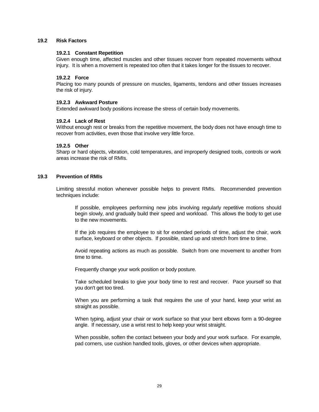## **19.2 Risk Factors**

## **19.2.1 Constant Repetition**

Given enough time, affected muscles and other tissues recover from repeated movements without injury. It is when a movement is repeated too often that it takes longer for the tissues to recover.

## **19.2.2 Force**

Placing too many pounds of pressure on muscles, ligaments, tendons and other tissues increases the risk of injury.

#### **19.2.3 Awkward Posture**

Extended awkward body positions increase the stress of certain body movements.

#### **19.2.4 Lack of Rest**

Without enough rest or breaks from the repetitive movement, the body does not have enough time to recover from activities, even those that involve very little force.

## **19.2.5 Other**

Sharp or hard objects, vibration, cold temperatures, and improperly designed tools, controls or work areas increase the risk of RMIs.

#### **19.3 Prevention of RMIs**

Limiting stressful motion whenever possible helps to prevent RMIs. Recommended prevention techniques include:

If possible, employees performing new jobs involving regularly repetitive motions should begin slowly, and gradually build their speed and workload. This allows the body to get use to the new movements.

If the job requires the employee to sit for extended periods of time, adjust the chair, work surface, keyboard or other objects. If possible, stand up and stretch from time to time.

Avoid repeating actions as much as possible. Switch from one movement to another from time to time.

Frequently change your work position or body posture.

Take scheduled breaks to give your body time to rest and recover. Pace yourself so that you don't get too tired.

When you are performing a task that requires the use of your hand, keep your wrist as straight as possible.

When typing, adjust your chair or work surface so that your bent elbows form a 90-degree angle. If necessary, use a wrist rest to help keep your wrist straight.

When possible, soften the contact between your body and your work surface. For example, pad corners, use cushion handled tools, gloves, or other devices when appropriate.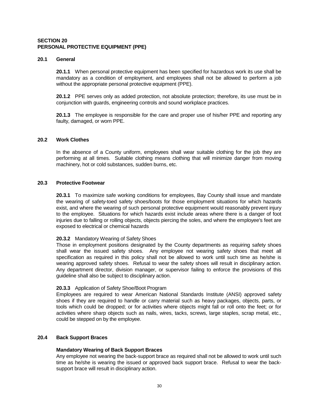## **SECTION 20 PERSONAL PROTECTIVE EQUIPMENT (PPE)**

## **20.1 General**

**20.1.1** When personal protective equipment has been specified for hazardous work its use shall be mandatory as a condition of employment, and employees shall not be allowed to perform a job without the appropriate personal protective equipment (PPE).

**20.1.2** PPE serves only as added protection, not absolute protection; therefore, its use must be in conjunction with guards, engineering controls and sound workplace practices.

**20.1.3** The employee is responsible for the care and proper use of his/her PPE and reporting any faulty, damaged, or worn PPE.

## **20.2 Work Clothes**

In the absence of a County uniform, employees shall wear suitable clothing for the job they are performing at all times. Suitable clothing means clothing that will minimize danger from moving machinery, hot or cold substances, sudden burns, etc.

## **20.3 Protective Footwear**

**20.3.1** To maximize safe working conditions for employees, Bay County shall issue and mandate the wearing of safety-toed safety shoes/boots for those employment situations for which hazards exist, and where the wearing of such personal protective equipment would reasonably prevent injury to the employee. Situations for which hazards exist include areas where there is a danger of foot injuries due to falling or rolling objects, objects piercing the soles, and where the employee's feet are exposed to electrical or chemical hazards

## **20.3.2** Mandatory Wearing of Safety Shoes

Those in employment positions designated by the County departments as requiring safety shoes shall wear the issued safety shoes. Any employee not wearing safety shoes that meet all specification as required in this policy shall not be allowed to work until such time as he/she is wearing approved safety shoes. Refusal to wear the safety shoes will result in disciplinary action. Any department director, division manager, or supervisor failing to enforce the provisions of this guideline shall also be subject to disciplinary action.

## **20.3.3** Application of Safety Shoe/Boot Program

Employees are required to wear American National Standards Institute (ANSI) approved safety shoes if they are required to handle or carry material such as heavy packages, objects, parts, or tools which could be dropped; or for activities where objects might fall or roll onto the feet; or for activities where sharp objects such as nails, wires, tacks, screws, large staples, scrap metal, etc., could be stepped on by the employee.

# **20.4 Back Support Braces**

## **Mandatory Wearing of Back Support Braces**

Any employee not wearing the back-support brace as required shall not be allowed to work until such time as he/she is wearing the issued or approved back support brace. Refusal to wear the backsupport brace will result in disciplinary action.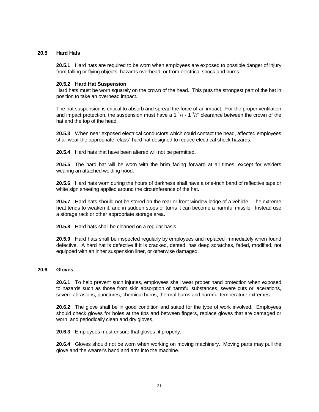# **20.5 Hard Hats**

**20.5.1** Hard hats are required to be worn when employees are exposed to possible danger of injury from falling or flying objects, hazards overhead, or from electrical shock and burns.

## **20.5.2 Hard Hat Suspension**

Hard hats must be worn squarely on the crown of the head. This puts the strongest part of the hat in position to take an overhead impact.

The hat suspension is critical to absorb and spread the force of an impact. For the proper ventilation and impact protection, the suspension must have a 1  $\frac{1}{4}$  - 1  $\frac{1}{2}$ " clearance between the crown of the hat and the top of the head.

**20.5.3** When near exposed electrical conductors which could contact the head, affected employees shall wear the appropriate "class" hard hat designed to reduce electrical shock hazards.

**20.5.4** Hard hats that have been altered will not be permitted.

**20.5.5** The hard hat will be worn with the brim facing forward at all times, except for welders wearing an attached welding hood.

**20.5.6** Hard hats worn during the hours of darkness shall have a one-inch band of reflective tape or white sign sheeting applied around the circumference of the hat.

**20.5.7** Hard hats should not be stored on the rear or front window ledge of a vehicle. The extreme heat tends to weaken it, and in sudden stops or turns it can become a harmful missile. Instead use a storage rack or other appropriate storage area.

**20.5.8** Hard hats shall be cleaned on a regular basis.

**20.5.9** Hard hats shall be inspected regularly by employees and replaced immediately when found defective. A hard hat is defective if it is cracked, dented, has deep scratches, faded, modified, not equipped with an inner suspension liner, or otherwise damaged.

## **20.6 Gloves**

**20.6.1** To help prevent such injuries, employees shall wear proper hand protection when exposed to hazards such as those from skin absorption of harmful substances, severe cuts or lacerations, severe abrasions, punctures, chemical burns, thermal burns and harmful temperature extremes.

**20.6.2** The glove shall be in good condition and suited for the type of work involved. Employees should check gloves for holes at the tips and between fingers, replace gloves that are damaged or worn, and periodically clean and dry gloves.

**20.6.3** Employees must ensure that gloves fit properly.

**20.6.4** Gloves should not be worn when working on moving machinery. Moving parts may pull the glove and the wearer's hand and arm into the machine.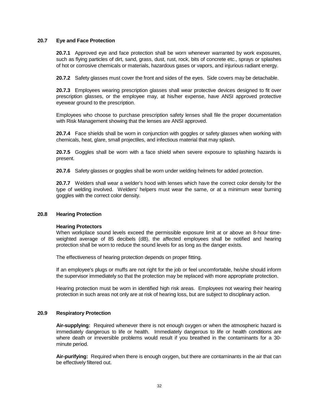## **20.7 Eye and Face Protection**

**20.7.1** Approved eye and face protection shall be worn whenever warranted by work exposures, such as flying particles of dirt, sand, grass, dust, rust, rock, bits of concrete etc., sprays or splashes of hot or corrosive chemicals or materials, hazardous gases or vapors, and injurious radiant energy.

**20.7.2** Safety glasses must cover the front and sides of the eyes. Side covers may be detachable.

**20.7.3** Employees wearing prescription glasses shall wear protective devices designed to fit over prescription glasses, or the employee may, at his/her expense, have ANSI approved protective eyewear ground to the prescription.

Employees who choose to purchase prescription safety lenses shall file the proper documentation with Risk Management showing that the lenses are ANSI approved.

**20.7.4** Face shields shall be worn in conjunction with goggles or safety glasses when working with chemicals, heat, glare, small projectiles, and infectious material that may splash.

**20.7.5** Goggles shall be worn with a face shield when severe exposure to splashing hazards is present.

**20.7.6** Safety glasses or goggles shall be worn under welding helmets for added protection.

**20.7.7** Welders shall wear a welder's hood with lenses which have the correct color density for the type of welding involved. Welders' helpers must wear the same, or at a minimum wear burning goggles with the correct color density.

#### **20.8 Hearing Protection**

## **Hearing Protectors**

When workplace sound levels exceed the permissible exposure limit at or above an 8-hour timeweighted average of 85 decibels (dB), the affected employees shall be notified and hearing protection shall be worn to reduce the sound levels for as long as the danger exists.

The effectiveness of hearing protection depends on proper fitting.

If an employee's plugs or muffs are not right for the job or feel uncomfortable, he/she should inform the supervisor immediately so that the protection may be replaced with more appropriate protection.

Hearing protection must be worn in identified high risk areas. Employees not wearing their hearing protection in such areas not only are at risk of hearing loss, but are subject to disciplinary action.

#### **20.9 Respiratory Protection**

**Air-supplying:** Required whenever there is not enough oxygen or when the atmospheric hazard is immediately dangerous to life or health. Immediately dangerous to life or health conditions are where death or irreversible problems would result if you breathed in the contaminants for a 30 minute period.

**Air-purifying:** Required when there is enough oxygen, but there are contaminants in the air that can be effectively filtered out.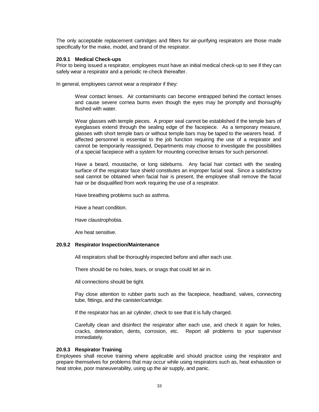The only acceptable replacement cartridges and filters for air-purifying respirators are those made specifically for the make, model, and brand of the respirator.

## **20.9.1 Medical Check-ups**

Prior to being issued a respirator, employees must have an initial medical check-up to see if they can safely wear a respirator and a periodic re-check thereafter.

In general, employees cannot wear a respirator if they:

Wear contact lenses. Air contaminants can become entrapped behind the contact lenses and cause severe cornea burns even though the eyes may be promptly and thoroughly flushed with water.

Wear glasses with temple pieces. A proper seal cannot be established if the temple bars of eyeglasses extend through the sealing edge of the facepiece. As a temporary measure, glasses with short temple bars or without temple bars may be taped to the wearers head. If affected personnel is essential to the job function requiring the use of a respirator and cannot be temporarily reassigned, Departments may choose to investigate the possibilities of a special facepiece with a system for mounting corrective lenses for such personnel.

Have a beard, moustache, or long sideburns. Any facial hair contact with the sealing surface of the respirator face shield constitutes an improper facial seal. Since a satisfactory seal cannot be obtained when facial hair is present, the employee shall remove the facial hair or be disqualified from work requiring the use of a respirator.

Have breathing problems such as asthma.

Have a heart condition.

Have claustrophobia.

Are heat sensitive.

## **20.9.2 Respirator Inspection/Maintenance**

All respirators shall be thoroughly inspected before and after each use.

There should be no holes, tears, or snags that could let air in.

All connections should be tight.

Pay close attention to rubber parts such as the facepiece, headband, valves, connecting tube, fittings, and the canister/cartridge.

If the respirator has an air cylinder, check to see that it is fully charged.

Carefully clean and disinfect the respirator after each use, and check it again for holes, cracks, deterioration, dents, corrosion, etc. Report all problems to your supervisor immediately.

## **20.9.3 Respirator Training**

Employees shall receive training where applicable and should practice using the respirator and prepare themselves for problems that may occur while using respirators such as, heat exhaustion or heat stroke, poor maneuverability, using up the air supply, and panic.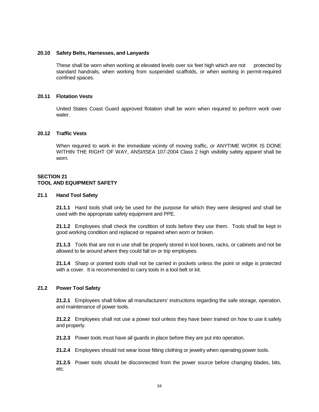### **20.10 Safety Belts, Harnesses, and Lanyards**

These shall be worn when working at elevated levels over six feet high which are not protected by standard handrails, when working from suspended scaffolds, or when working in permit-required confined spaces.

## **20.11 Flotation Vests**

United States Coast Guard approved flotation shall be worn when required to perform work over water.

#### **20.12 Traffic Vests**

When required to work in the immediate vicinity of moving traffic, or ANYTIME WORK IS DONE WITHIN THE RIGHT OF WAY, ANSI/ISEA 107-2004 Class 2 high visibility safety apparel shall be worn.

## **SECTION 21 TOOL AND EQUIPMENT SAFETY**

#### **21.1 Hand Tool Safety**

**21.1.1** Hand tools shall only be used for the purpose for which they were designed and shall be used with the appropriate safety equipment and PPE.

**21.1.2** Employees shall check the condition of tools before they use them. Tools shall be kept in good working condition and replaced or repaired when worn or broken.

**21.1.3** Tools that are not in use shall be properly stored in tool boxes, racks, or cabinets and not be allowed to lie around where they could fall on or trip employees.

**21.1.4** Sharp or pointed tools shall not be carried in pockets unless the point or edge is protected with a cover. It is recommended to carry tools in a tool belt or kit.

#### **21.2 Power Tool Safety**

**21.2.1** Employees shall follow all manufacturers' instructions regarding the safe storage, operation, and maintenance of power tools.

**21.2.2** Employees shall not use a power tool unless they have been trained on how to use it safely and properly.

**21.2.3** Power tools must have all guards in place before they are put into operation.

**21.2.4** Employees should not wear loose fitting clothing or jewelry when operating power tools.

**21.2.5** Power tools should be disconnected from the power source before changing blades, bits, etc.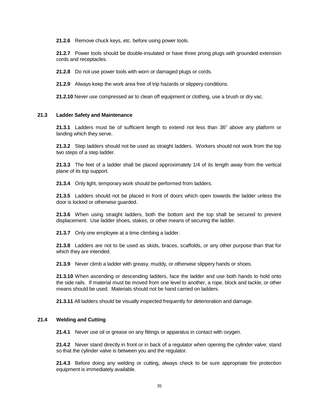**21.2.6** Remove chuck keys, etc. before using power tools.

**21.2.7** Power tools should be double-insulated or have three prong plugs with grounded extension cords and receptacles.

**21.2.8** Do not use power tools with worn or damaged plugs or cords.

**21.2.9** Always keep the work area free of trip hazards or slippery conditions.

**21.2.10** Never use compressed air to clean off equipment or clothing, use a brush or dry vac.

#### **21.3 Ladder Safety and Maintenance**

**21.3.1** Ladders must be of sufficient length to extend not less than 36" above any platform or landing which they serve.

**21.3.2** Step ladders should not be used as straight ladders. Workers should not work from the top two steps of a step ladder.

**21.3.3** The feet of a ladder shall be placed approximately 1/4 of its length away from the vertical plane of its top support.

**21.3.4** Only light, temporary work should be performed from ladders.

**21.3.5** Ladders should not be placed in front of doors which open towards the ladder unless the door is locked or otherwise guarded.

**21.3.6** When using straight ladders, both the bottom and the top shall be secured to prevent displacement. Use ladder shoes, stakes, or other means of securing the ladder.

**21.3.7** Only one employee at a time climbing a ladder.

**21.3.8** Ladders are not to be used as skids, braces, scaffolds, or any other purpose than that for which they are intended.

**21.3.9** Never climb a ladder with greasy, muddy, or otherwise slippery hands or shoes.

**21.3.10** When ascending or descending ladders, face the ladder and use both hands to hold onto the side rails. If material must be moved from one level to another, a rope, block and tackle, or other means should be used. Materials should not be hand carried on ladders.

**21.3.11** All ladders should be visually inspected frequently for deterioration and damage.

## **21.4 Welding and Cutting**

**21.4.1** Never use oil or grease on any fittings or apparatus in contact with oxygen.

**21.4.2** Never stand directly in front or in back of a regulator when opening the cylinder valve; stand so that the cylinder valve is between you and the regulator.

**21.4.3** Before doing any welding or cutting, always check to be sure appropriate fire protection equipment is immediately available.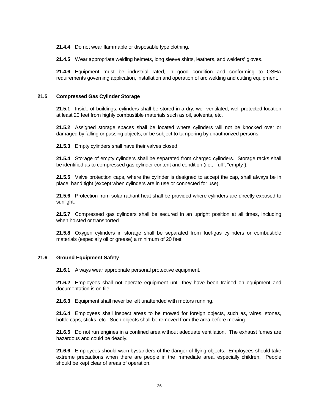**21.4.4** Do not wear flammable or disposable type clothing.

**21.4.5** Wear appropriate welding helmets, long sleeve shirts, leathers, and welders' gloves.

**21.4.6** Equipment must be industrial rated, in good condition and conforming to OSHA requirements governing application, installation and operation of arc welding and cutting equipment.

## **21.5 Compressed Gas Cylinder Storage**

**21.5.1** Inside of buildings, cylinders shall be stored in a dry, well-ventilated, well-protected location at least 20 feet from highly combustible materials such as oil, solvents, etc.

**21.5.2** Assigned storage spaces shall be located where cylinders will not be knocked over or damaged by falling or passing objects, or be subject to tampering by unauthorized persons.

**21.5.3** Empty cylinders shall have their valves closed.

**21.5.4** Storage of empty cylinders shall be separated from charged cylinders. Storage racks shall be identified as to compressed gas cylinder content and condition (i.e., "full", "empty").

**21.5.5** Valve protection caps, where the cylinder is designed to accept the cap, shall always be in place, hand tight (except when cylinders are in use or connected for use).

**21.5.6** Protection from solar radiant heat shall be provided where cylinders are directly exposed to sunlight.

**21.5.7** Compressed gas cylinders shall be secured in an upright position at all times, including when hoisted or transported.

**21.5.8** Oxygen cylinders in storage shall be separated from fuel-gas cylinders or combustible materials (especially oil or grease) a minimum of 20 feet.

## **21.6 Ground Equipment Safety**

**21.6.1** Always wear appropriate personal protective equipment.

**21.6.2** Employees shall not operate equipment until they have been trained on equipment and documentation is on file.

**21.6.3** Equipment shall never be left unattended with motors running.

**21.6.4** Employees shall inspect areas to be mowed for foreign objects, such as, wires, stones, bottle caps, sticks, etc. Such objects shall be removed from the area before mowing.

**21.6.5** Do not run engines in a confined area without adequate ventilation. The exhaust fumes are hazardous and could be deadly.

**21.6.6** Employees should warn bystanders of the danger of flying objects. Employees should take extreme precautions when there are people in the immediate area, especially children. People should be kept clear of areas of operation.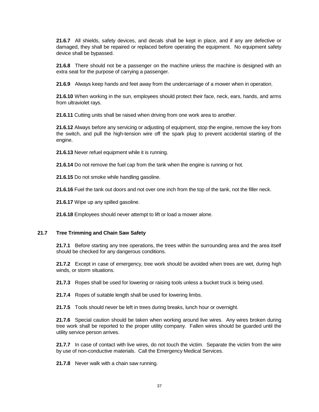**21.6.7** All shields, safety devices, and decals shall be kept in place, and if any are defective or damaged, they shall be repaired or replaced before operating the equipment. No equipment safety device shall be bypassed.

**21.6.8** There should not be a passenger on the machine unless the machine is designed with an extra seat for the purpose of carrying a passenger.

**21.6.9** Always keep hands and feet away from the undercarriage of a mower when in operation.

**21.6.10** When working in the sun, employees should protect their face, neck, ears, hands, and arms from ultraviolet rays.

**21.6.11** Cutting units shall be raised when driving from one work area to another.

**21.6.12** Always before any servicing or adjusting of equipment, stop the engine, remove the key from the switch, and pull the high-tension wire off the spark plug to prevent accidental starting of the engine.

**21.6.13** Never refuel equipment while it is running.

**21.6.14** Do not remove the fuel cap from the tank when the engine is running or hot.

**21.6.15** Do not smoke while handling gasoline.

**21.6.16** Fuel the tank out doors and not over one inch from the top of the tank, not the filler neck.

**21.6.17** Wipe up any spilled gasoline.

**21.6.18** Employees should never attempt to lift or load a mower alone.

## **21.7 Tree Trimming and Chain Saw Safety**

**21.7.1** Before starting any tree operations, the trees within the surrounding area and the area itself should be checked for any dangerous conditions.

**21.7.2** Except in case of emergency, tree work should be avoided when trees are wet, during high winds, or storm situations.

**21.7.3** Ropes shall be used for lowering or raising tools unless a bucket truck is being used.

**21.7.4** Ropes of suitable length shall be used for lowering limbs.

**21.7.5** Tools should never be left in trees during breaks, lunch hour or overnight.

**21.7.6** Special caution should be taken when working around live wires. Any wires broken during tree work shall be reported to the proper utility company. Fallen wires should be guarded until the utility service person arrives.

**21.7.7** In case of contact with live wires, do not touch the victim. Separate the victim from the wire by use of non-conductive materials. Call the Emergency Medical Services.

**21.7.8** Never walk with a chain saw running.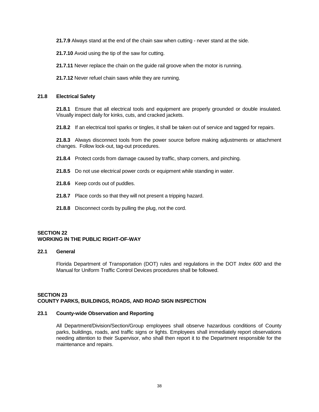**21.7.9** Always stand at the end of the chain saw when cutting - never stand at the side.

**21.7.10** Avoid using the tip of the saw for cutting.

**21.7.11** Never replace the chain on the guide rail groove when the motor is running.

**21.7.12** Never refuel chain saws while they are running.

## **21.8 Electrical Safety**

**21.8.1** Ensure that all electrical tools and equipment are properly grounded or double insulated. Visually inspect daily for kinks, cuts, and cracked jackets.

**21.8.2** If an electrical tool sparks or tingles, it shall be taken out of service and tagged for repairs.

**21.8.3** Always disconnect tools from the power source before making adjustments or attachment changes. Follow lock-out, tag-out procedures.

- **21.8.4** Protect cords from damage caused by traffic, sharp corners, and pinching.
- **21.8.5** Do not use electrical power cords or equipment while standing in water.
- **21.8.6** Keep cords out of puddles.
- **21.8.7** Place cords so that they will not present a tripping hazard.
- **21.8.8** Disconnect cords by pulling the plug, not the cord.

# **SECTION 22 WORKING IN THE PUBLIC RIGHT-OF-WAY**

## **22.1 General**

Florida Department of Transportation (DOT) rules and regulations in the DOT *Index 600* and the Manual for Uniform Traffic Control Devices procedures shall be followed.

# **SECTION 23 COUNTY PARKS, BUILDINGS, ROADS, AND ROAD SIGN INSPECTION**

## **23.1 County-wide Observation and Reporting**

All Department/Division/Section/Group employees shall observe hazardous conditions of County parks, buildings, roads, and traffic signs or lights. Employees shall immediately report observations needing attention to their Supervisor, who shall then report it to the Department responsible for the maintenance and repairs.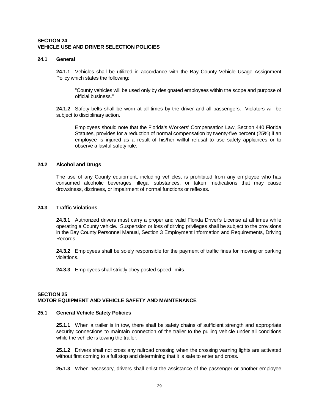## **SECTION 24 VEHICLE USE AND DRIVER SELECTION POLICIES**

#### **24.1 General**

**24.1.1** Vehicles shall be utilized in accordance with the Bay County Vehicle Usage Assignment Policy which states the following:

"County vehicles will be used only by designated employees within the scope and purpose of official business."

**24.1.2** Safety belts shall be worn at all times by the driver and all passengers. Violators will be subject to disciplinary action.

Employees should note that the Florida's Workers' Compensation Law, Section 440 Florida Statutes, provides for a reduction of normal compensation by twenty-five percent (25%) if an employee is injured as a result of his/her willful refusal to use safety appliances or to observe a lawful safety rule.

# **24.2 Alcohol and Drugs**

The use of any County equipment, including vehicles, is prohibited from any employee who has consumed alcoholic beverages, illegal substances, or taken medications that may cause drowsiness, dizziness, or impairment of normal functions or reflexes.

#### **24.3 Traffic Violations**

**24.3.1** Authorized drivers must carry a proper and valid Florida Driver's License at all times while operating a County vehicle. Suspension or loss of driving privileges shall be subject to the provisions in the Bay County Personnel Manual, Section 3 Employment Information and Requirements, Driving Records.

**24.3.2** Employees shall be solely responsible for the payment of traffic fines for moving or parking violations.

**24.3.3** Employees shall strictly obey posted speed limits.

#### **SECTION 25 MOTOR EQUIPMENT AND VEHICLE SAFETY AND MAINTENANCE**

#### **25.1 General Vehicle Safety Policies**

**25.1.1** When a trailer is in tow, there shall be safety chains of sufficient strength and appropriate security connections to maintain connection of the trailer to the pulling vehicle under all conditions while the vehicle is towing the trailer.

**25.1.2** Drivers shall not cross any railroad crossing when the crossing warning lights are activated without first coming to a full stop and determining that it is safe to enter and cross.

**25.1.3** When necessary, drivers shall enlist the assistance of the passenger or another employee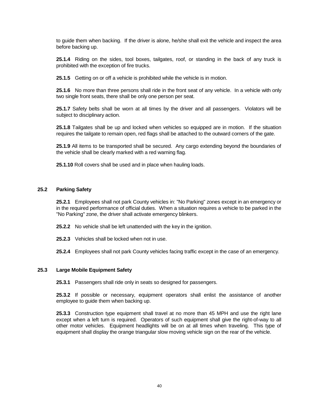to guide them when backing. If the driver is alone, he/she shall exit the vehicle and inspect the area before backing up.

**25.1.4** Riding on the sides, tool boxes, tailgates, roof, or standing in the back of any truck is prohibited with the exception of fire trucks.

**25.1.5** Getting on or off a vehicle is prohibited while the vehicle is in motion.

**25.1.6** No more than three persons shall ride in the front seat of any vehicle. In a vehicle with only two single front seats, there shall be only one person per seat.

**25.1.7** Safety belts shall be worn at all times by the driver and all passengers. Violators will be subject to disciplinary action.

**25.1.8** Tailgates shall be up and locked when vehicles so equipped are in motion. If the situation requires the tailgate to remain open, red flags shall be attached to the outward corners of the gate.

**25.1.9** All items to be transported shall be secured. Any cargo extending beyond the boundaries of the vehicle shall be clearly marked with a red warning flag.

**25.1.10** Roll covers shall be used and in place when hauling loads.

## **25.2 Parking Safety**

**25.2.1** Employees shall not park County vehicles in: "No Parking" zones except in an emergency or in the required performance of official duties. When a situation requires a vehicle to be parked in the "No Parking" zone, the driver shall activate emergency blinkers.

- **25.2.2** No vehicle shall be left unattended with the key in the ignition.
- **25.2.3** Vehicles shall be locked when not in use.
- **25.2.4** Employees shall not park County vehicles facing traffic except in the case of an emergency.

## **25.3 Large Mobile Equipment Safety**

**25.3.1** Passengers shall ride only in seats so designed for passengers.

**25.3.2** If possible or necessary, equipment operators shall enlist the assistance of another employee to guide them when backing up.

**25.3.3** Construction type equipment shall travel at no more than 45 MPH and use the right lane except when a left turn is required. Operators of such equipment shall give the right-of-way to all other motor vehicles. Equipment headlights will be on at all times when traveling. This type of equipment shall display the orange triangular slow moving vehicle sign on the rear of the vehicle.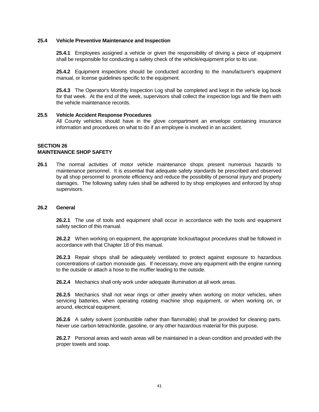## **25.4 Vehicle Preventive Maintenance and Inspection**

**25.4.1** Employees assigned a vehicle or given the responsibility of driving a piece of equipment shall be responsible for conducting a safety check of the vehicle/equipment prior to its use.

**25.4.2** Equipment inspections should be conducted according to the manufacturer's equipment manual, or license guidelines specific to the equipment.

**25.4.3** The Operator's Monthly Inspection Log shall be completed and kept in the vehicle log book for that week. At the end of the week, supervisors shall collect the inspection logs and file them with the vehicle maintenance records.

## **25.5 Vehicle Accident Response Procedures**

All County vehicles should have in the glove compartment an envelope containing insurance information and procedures on what to do if an employee is involved in an accident.

#### **SECTION 26 MAINTENANCE SHOP SAFETY**

**26.1** The normal activities of motor vehicle maintenance shops present numerous hazards to maintenance personnel. It is essential that adequate safety standards be prescribed and observed by all shop personnel to promote efficiency and reduce the possibility of personal injury and property damages. The following safety rules shall be adhered to by shop employees and enforced by shop supervisors.

#### **26.2 General**

**26.2.1** The use of tools and equipment shall occur in accordance with the tools and equipment safety section of this manual.

**26.2.2** When working on equipment, the appropriate lockout/tagout procedures shall be followed in accordance with that Chapter 18 of this manual.

**26.2.3** Repair shops shall be adequately ventilated to protect against exposure to hazardous concentrations of carbon monoxide gas. If necessary, move any equipment with the engine running to the outside or attach a hose to the muffler leading to the outside.

**26.2.4** Mechanics shall only work under adequate illumination at all work areas.

**26.2.5** Mechanics shall not wear rings or other jewelry when working on motor vehicles, when servicing batteries, when operating rotating machine shop equipment, or when working on, or around, electrical equipment.

**26.2.6** A safety solvent (combustible rather than flammable) shall be provided for cleaning parts. Never use carbon tetrachloride, gasoline, or any other hazardous material for this purpose.

**26.2.7** Personal areas and wash areas will be maintained in a clean condition and provided with the proper towels and soap.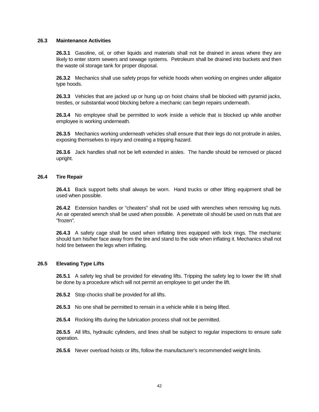## **26.3 Maintenance Activities**

**26.3.1** Gasoline, oil, or other liquids and materials shall not be drained in areas where they are likely to enter storm sewers and sewage systems. Petroleum shall be drained into buckets and then the waste oil storage tank for proper disposal.

**26.3.2** Mechanics shall use safety props for vehicle hoods when working on engines under alligator type hoods.

**26.3.3** Vehicles that are jacked up or hung up on hoist chains shall be blocked with pyramid jacks, trestles, or substantial wood blocking before a mechanic can begin repairs underneath.

**26.3.4** No employee shall be permitted to work inside a vehicle that is blocked up while another employee is working underneath.

**26.3.5** Mechanics working underneath vehicles shall ensure that their legs do not protrude in aisles, exposing themselves to injury and creating a tripping hazard.

**26.3.6** Jack handles shall not be left extended in aisles. The handle should be removed or placed upright.

## **26.4 Tire Repair**

**26.4.1** Back support belts shall always be worn. Hand trucks or other lifting equipment shall be used when possible.

**26.4.2** Extension handles or "cheaters" shall not be used with wrenches when removing lug nuts. An air operated wrench shall be used when possible. A penetrate oil should be used on nuts that are "frozen".

**26.4.3** A safety cage shall be used when inflating tires equipped with lock rings. The mechanic should turn his/her face away from the tire and stand to the side when inflating it. Mechanics shall not hold tire between the legs when inflating.

## **26.5 Elevating Type Lifts**

**26.5.1** A safety leg shall be provided for elevating lifts. Tripping the safety leg to lower the lift shall be done by a procedure which will not permit an employee to get under the lift.

- **26.5.2** Stop chocks shall be provided for all lifts.
- **26.5.3** No one shall be permitted to remain in a vehicle while it is being lifted.
- **26.5.4** Rocking lifts during the lubrication process shall not be permitted.

**26.5.5** All lifts, hydraulic cylinders, and lines shall be subject to regular inspections to ensure safe operation.

**26.5.6** Never overload hoists or lifts, follow the manufacturer's recommended weight limits.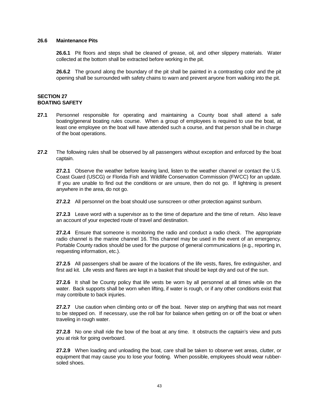## **26.6 Maintenance Pits**

**26.6.1** Pit floors and steps shall be cleaned of grease, oil, and other slippery materials. Water collected at the bottom shall be extracted before working in the pit.

**26.6.2** The ground along the boundary of the pit shall be painted in a contrasting color and the pit opening shall be surrounded with safety chains to warn and prevent anyone from walking into the pit.

# **SECTION 27 BOATING SAFETY**

- **27.1** Personnel responsible for operating and maintaining a County boat shall attend a safe boating/general boating rules course. When a group of employees is required to use the boat, at least one employee on the boat will have attended such a course, and that person shall be in charge of the boat operations.
- **27.2** The following rules shall be observed by all passengers without exception and enforced by the boat captain.

**27.2.1** Observe the weather before leaving land, listen to the weather channel or contact the U.S. Coast Guard (USCG) or Florida Fish and Wildlife Conservation Commission (FWCC) for an update. If you are unable to find out the conditions or are unsure, then do not go. If lightning is present anywhere in the area, do not go.

**27.2.2** All personnel on the boat should use sunscreen or other protection against sunburn.

**27.2.3** Leave word with a supervisor as to the time of departure and the time of return. Also leave an account of your expected route of travel and destination.

**27.2.4** Ensure that someone is monitoring the radio and conduct a radio check. The appropriate radio channel is the marine channel 16. This channel may be used in the event of an emergency. Portable County radios should be used for the purpose of general communications (e.g., reporting in, requesting information, etc.).

**27.2.5** All passengers shall be aware of the locations of the life vests, flares, fire extinguisher, and first aid kit. Life vests and flares are kept in a basket that should be kept dry and out of the sun.

**27.2.6** It shall be County policy that life vests be worn by all personnel at all times while on the water. Back supports shall be worn when lifting, if water is rough, or if any other conditions exist that may contribute to back injuries.

**27.2.7** Use caution when climbing onto or off the boat. Never step on anything that was not meant to be stepped on. If necessary, use the roll bar for balance when getting on or off the boat or when traveling in rough water.

**27.2.8** No one shall ride the bow of the boat at any time. It obstructs the captain's view and puts you at risk for going overboard.

**27.2.9** When loading and unloading the boat, care shall be taken to observe wet areas, clutter, or equipment that may cause you to lose your footing. When possible, employees should wear rubbersoled shoes.